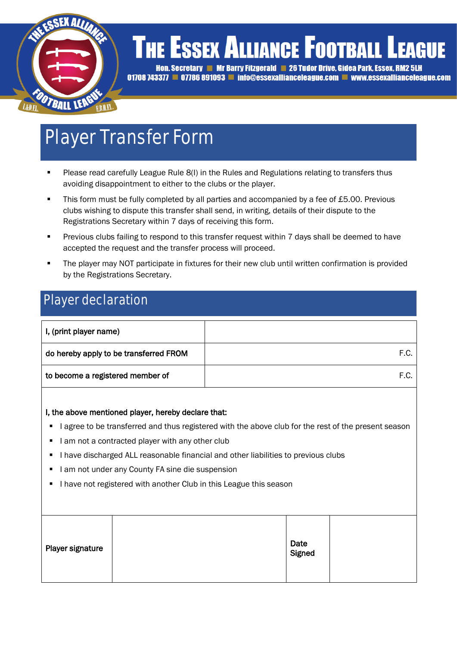

### **THE ESSEX ALLIANCE FOOTBALL L EAGUE**

Hon. Secretary Mr Barry Fitzgerald 26 Tudor Drive. Gidea Park. Essex. RM2 5LH 01708 743377 **= 07786 891093 = info@essexallianceleague.com = www.essexallianceleague.com** 

# Player Transfer Form

- Please read carefully League Rule 8(I) in the Rules and Regulations relating to transfers thus avoiding disappointment to either to the clubs or the player.
- This form must be fully completed by all parties and accompanied by a fee of £5.00. Previous clubs wishing to dispute this transfer shall send, in writing, details of their dispute to the Registrations Secretary within 7 days of receiving this form.
- Previous clubs failing to respond to this transfer request within 7 days shall be deemed to have accepted the request and the transfer process will proceed.
- The player may NOT participate in fixtures for their new club until written confirmation is provided by the Registrations Secretary.

### Player declaration

| I, (print player name)                 |      |
|----------------------------------------|------|
| do hereby apply to be transferred FROM | F.C. |
| to become a registered member of       | F.C. |

#### I, the above mentioned player, hereby declare that:

- I agree to be transferred and thus registered with the above club for the rest of the present season
- I am not a contracted player with any other club
- I have discharged ALL reasonable financial and other liabilities to previous clubs
- I am not under any County FA sine die suspension
- I have not registered with another Club in this League this season

| Date<br>Signed<br>Player signature |  |
|------------------------------------|--|
|------------------------------------|--|